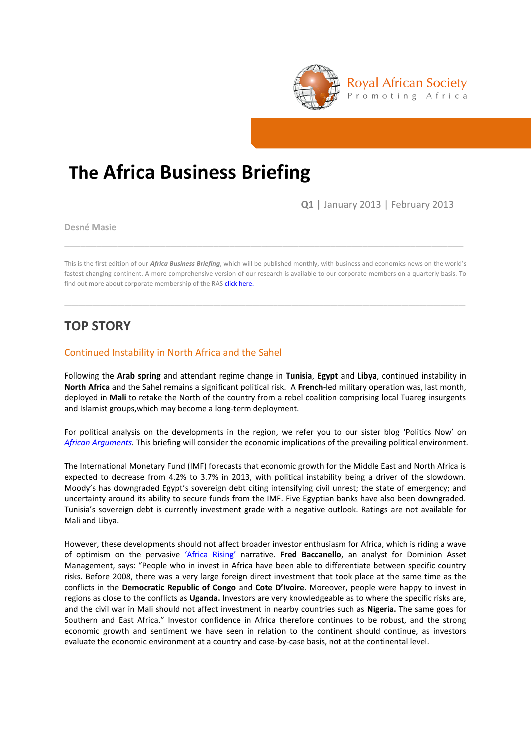

# **The Africa Business Briefing**

**Q1 |** January 2013 | February 2013

**Desné Masie**

This is the first edition of our *Africa Business Briefing*, which will be published monthly, with business and economics news on the world's fastest changing continent. A more comprehensive version of our research is available to our corporate members on a quarterly basis. To find out more about corporate membership of the RAS [click here.](http://www.royalafricansociety.org/corporate-members)

\_\_\_\_\_\_\_\_\_\_\_\_\_\_\_\_\_\_\_\_\_\_\_\_\_\_\_\_\_\_\_\_\_\_\_\_\_\_\_\_\_\_\_\_\_\_\_\_\_\_\_\_\_\_\_\_\_\_\_\_\_\_\_\_\_\_\_\_\_\_\_\_\_\_\_\_\_\_\_\_\_\_\_\_\_\_\_\_\_\_\_\_\_\_\_\_\_\_\_\_\_\_\_\_\_\_\_\_\_\_\_\_\_

\_\_\_\_\_\_\_\_\_\_\_\_\_\_\_\_\_\_\_\_\_\_\_\_\_\_\_\_\_\_\_\_\_\_\_\_\_\_\_\_\_\_\_\_\_\_\_\_\_\_\_\_\_\_\_\_\_\_\_\_\_\_\_\_\_\_\_\_\_\_\_\_\_\_\_

## **TOP STORY**

## Continued Instability in North Africa and the Sahel

Following the **Arab spring** and attendant regime change in **Tunisia**, **Egypt** and **Libya**, continued instability in **North Africa** and the Sahel remains a significant political risk. A **French**-led military operation was, last month, deployed in **Mali** to retake the North of the country from a rebel coalition comprising local Tuareg insurgents and Islamist groups,which may become a long-term deployment.

For political analysis on the developments in the region, we refer you to our sister blog 'Politics Now' on *[African Arguments.](http://africanarguments.org/2013/01/16/today-mali-tomorrow-nigeria-for-al-qaeda-%E2%80%93-by-richard-dowden/)* This briefing will consider the economic implications of the prevailing political environment.

The International Monetary Fund (IMF) forecasts that economic growth for the Middle East and North Africa is expected to decrease from 4.2% to 3.7% in 2013, with political instability being a driver of the slowdown. Moody's has downgraded Egypt's sovereign debt citing intensifying civil unrest; the state of emergency; and uncertainty around its ability to secure funds from the IMF. Five Egyptian banks have also been downgraded. Tunisia's sovereign debt is currently investment grade with a negative outlook. Ratings are not available for Mali and Libya.

However, these developments should not affect broader investor enthusiasm for Africa, which is riding a wave of optimism on the pervasive '[Africa Rising](http://www.economist.com/node/21541015)' narrative. **Fred Baccanello**, an analyst for Dominion Asset Management, says: "People who in invest in Africa have been able to differentiate between specific country risks. Before 2008, there was a very large foreign direct investment that took place at the same time as the conflicts in the **Democratic Republic of Congo** and **Cote D'Ivoire**. Moreover, people were happy to invest in regions as close to the conflicts as **Uganda.** Investors are very knowledgeable as to where the specific risks are, and the civil war in Mali should not affect investment in nearby countries such as **Nigeria.** The same goes for Southern and East Africa." Investor confidence in Africa therefore continues to be robust, and the strong economic growth and sentiment we have seen in relation to the continent should continue, as investors evaluate the economic environment at a country and case-by-case basis, not at the continental level.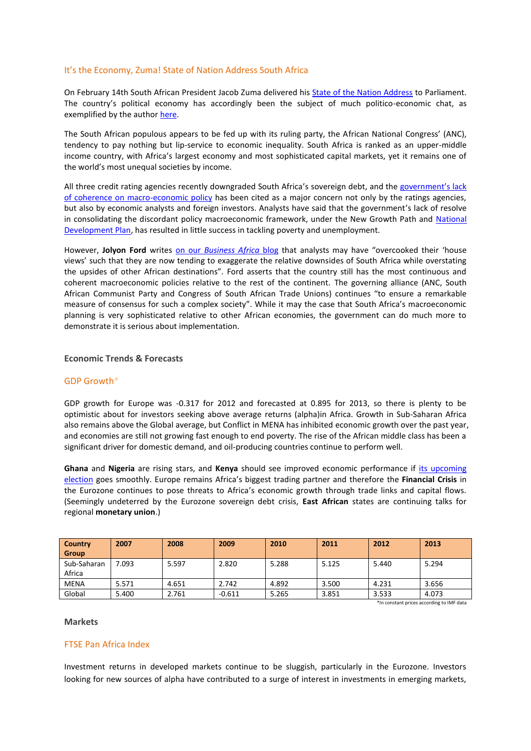## It's the Economy, Zuma! State of Nation Address South Africa

On February 14th South African President Jacob Zuma delivered his [State of the Nation Address](http://www.sanews.gov.za/south-africa/2013-state-nation-address) to Parliament. The country's political economy has accordingly been the subject of much politico-economic chat, as exemplified by the autho[r here.](http://www.youtube.com/watch?v=iPtJ7mpmaO0)

The South African populous appears to be fed up with its ruling party, the African National Congress' (ANC), tendency to pay nothing but lip-service to economic inequality. South Africa is ranked as an upper-middle income country, with Africa's largest economy and most sophisticated capital markets, yet it remains one of the world's most unequal societies by income.

All three credit rating agencies recently downgraded South Africa's sovereign debt, and the government's lack [of coherence on macro-economic policy](http://thinkafricapress.com/south-africa/anc-policy-conference-falters-zuma-nationalisation-second-transition) has been cited as a major concern not only by the ratings agencies, but also by economic analysts and foreign investors. Analysts have said that the government's lack of resolve in consolidating the discordant policy macroeconomic framework, under the New Growth Path and National [Development Plan,](http://africanarguments.org/2012/02/03/fighting-poverty-in-south-africa-the-ndp-anc-and-a-political-big-beast-%E2%80%93-by-desne-masie/) has resulted in little success in tackling poverty and unemployment.

However, **Jolyon Ford** writes on our *[Business Africa](http://africanarguments.org/2013/02/18/%E2%80%98defending%E2%80%99-zuma-why-shttp:/africanarguments.org/2013/02/18/%E2%80%98defending%E2%80%99-zuma-why-south-africa-remains-most-attractive-place-to-do-business-in-africa-by-jolyon-ford-at-oxford-analytica/)* blog that analysts may have "overcooked their 'house views' such that they are now tending to exaggerate the relative downsides of South Africa while overstating the upsides of other African destinations". Ford asserts that the country still has the most continuous and coherent macroeconomic policies relative to the rest of the continent. The governing alliance (ANC, South African Communist Party and Congress of South African Trade Unions) continues "to ensure a remarkable measure of consensus for such a complex society". While it may the case that South Africa's macroeconomic planning is very sophisticated relative to other African economies, the government can do much more to demonstrate it is serious about implementation.

## **Economic Trends & Forecasts**

## GDP Growth\*

GDP growth for Europe was -0.317 for 2012 and forecasted at 0.895 for 2013, so there is plenty to be optimistic about for investors seeking above average returns (alpha)in Africa. Growth in Sub-Saharan Africa also remains above the Global average, but Conflict in MENA has inhibited economic growth over the past year, and economies are still not growing fast enough to end poverty. The rise of the African middle class has been a significant driver for domestic demand, and oil-producing countries continue to perform well.

**Ghana** and **Nigeria** are rising stars, and **Kenya** should see improved economic performance if [its upcoming](http://africanarguments.org/2013/01/29/kenya%E2%80%99s-election-brave-new-world-or-highway-to-hell-%E2%80%93-by-richard-dowden/)  [election](http://africanarguments.org/2013/01/29/kenya%E2%80%99s-election-brave-new-world-or-highway-to-hell-%E2%80%93-by-richard-dowden/) goes smoothly. Europe remains Africa's biggest trading partner and therefore the **Financial Crisis** in the Eurozone continues to pose threats to Africa's economic growth through trade links and capital flows. (Seemingly undeterred by the Eurozone sovereign debt crisis, **East African** states are continuing talks for regional **monetary union**.)

| <b>Country</b><br>Group | 2007                                      | 2008  | 2009     | 2010  | 2011  | 2012  | 2013  |
|-------------------------|-------------------------------------------|-------|----------|-------|-------|-------|-------|
| Sub-Saharan<br>Africa   | 7.093                                     | 5.597 | 2.820    | 5.288 | 5.125 | 5.440 | 5.294 |
| <b>MENA</b>             | 5.571                                     | 4.651 | 2.742    | 4.892 | 3.500 | 4.231 | 3.656 |
| Global                  | 5.400                                     | 2.761 | $-0.611$ | 5.265 | 3.851 | 3.533 | 4.073 |
|                         | *In constant prices according to IMF data |       |          |       |       |       |       |

#### **Markets**

## FTSE Pan Africa Index

Investment returns in developed markets continue to be sluggish, particularly in the Eurozone. Investors looking for new sources of alpha have contributed to a surge of interest in investments in emerging markets,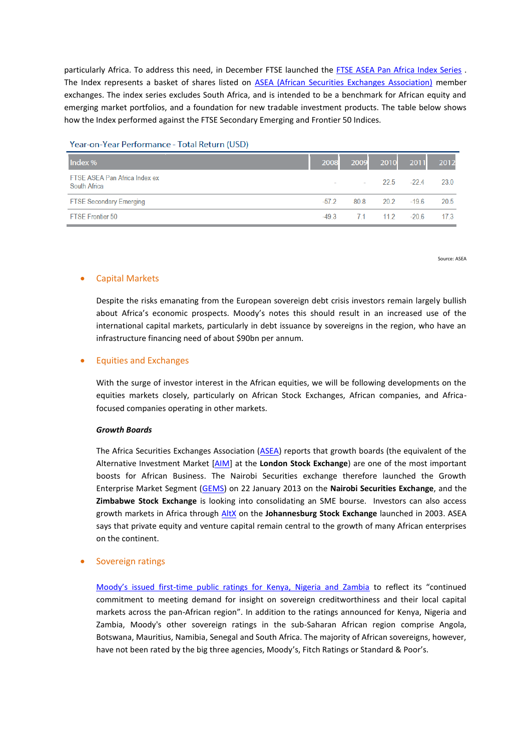particularly Africa. To address this need, in December FTSE launched the [FTSE ASEA Pan Africa Index Series](http://www.ftse.com/Indices/FTSE_ASEA_Pan_Africa_Index_Series/index.jsp) . The Index represents a basket of shares listed on [ASEA \(African Securities Exchanges Association\)](http://www.ftse.com/Indices/FTSE_ASEA_Pan_Africa_Index_Series/index.jsp) member exchanges. The index series excludes South Africa, and is intended to be a benchmark for African equity and emerging market portfolios, and a foundation for new tradable investment products. The table below shows how the Index performed against the FTSE Secondary Emerging and Frontier 50 Indices.

#### Year-on-Year Performance - Total Return (USD)

| Index %                                       | 2008    | 2009                     |                | 2010 2011      | 2012 |
|-----------------------------------------------|---------|--------------------------|----------------|----------------|------|
| FTSE ASEA Pan Africa Index ex<br>South Africa |         | <b>Contract Contract</b> |                | $225 - 224$    | 23.0 |
| <b>FTSE Secondary Emerging</b>                | $-572$  | 80.8                     |                | $20.2$ $-19.6$ | 20.5 |
| <b>FTSE Frontier 50</b>                       | $-49.3$ |                          | 7.1 11.2 -20.6 |                | 173  |

Source: ASEA

#### Capital Markets

Despite the risks emanating from the European sovereign debt crisis investors remain largely bullish about Africa's economic prospects. Moody's notes this should result in an increased use of the international capital markets, particularly in debt issuance by sovereigns in the region, who have an infrastructure financing need of about \$90bn per annum.

#### Equities and Exchanges

With the surge of investor interest in the African equities, we will be following developments on the equities markets closely, particularly on African Stock Exchanges, African companies, and Africafocused companies operating in other markets.

#### *Growth Boards*

The Africa Securities Exchanges Association [\(ASEA\)](http://www.africansea.org/asea/Default.aspx?AspxAutoDetectCookieSupport=1) reports that growth boards (the equivalent of the Alternative Investment Market [\[AIM\]](http://www.londonstockexchange.com/companies-and-advisors/aim/aim/aim.htm) at the **London Stock Exchange**) are one of the most important boosts for African Business. The Nairobi Securities exchange therefore launched the Growth Enterprise Market Segment [\(GEMS\)](http://www.african-markets.com/en/stock-markets/nairobi-securities-exchange/news/380-nairobi-securities-exchange-launches-the-growth-enterprise-market-segment) on 22 January 2013 on the **Nairobi Securities Exchange**, and the **Zimbabwe Stock Exchange** is looking into consolidating an SME bourse. Investors can also access growth markets in Africa through [AltX](http://www.jse.co.za/How-To-List/AltX.aspx) on the **Johannesburg Stock Exchange** launched in 2003. ASEA says that private equity and venture capital remain central to the growth of many African enterprises on the continent.

## Sovereign ratings

Moody's issued first[-time public ratings for Kenya, Nigeria and Zambia](http://www.moodys.com/research/Moodys-expands-African-ratings-coverage-assigning-sovereign-ratings-to-Kenya--PR_259338) to reflect its "continued commitment to meeting demand for insight on sovereign creditworthiness and their local capital markets across the pan-African region". In addition to the ratings announced for Kenya, Nigeria and Zambia, Moody's other sovereign ratings in the sub-Saharan African region comprise Angola, Botswana, Mauritius, Namibia, Senegal and South Africa. The majority of African sovereigns, however, have not been rated by the big three agencies, Moody's, Fitch Ratings or Standard & Poor's.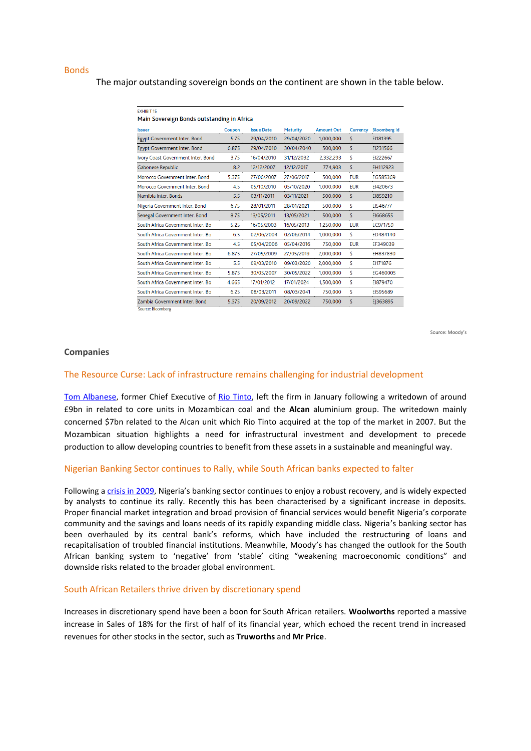#### Bonds

The major outstanding sovereign bonds on the continent are shown in the table below.

| <b>EXHIBIT 15</b>                          |        |                   |                 |                   |                 |                     |
|--------------------------------------------|--------|-------------------|-----------------|-------------------|-----------------|---------------------|
| Main Sovereign Bonds outstanding in Africa |        |                   |                 |                   |                 |                     |
| <b>Issuer</b>                              | Coupon | <b>Issue Date</b> | <b>Maturity</b> | <b>Amount Out</b> | <b>Currency</b> | <b>Bloomberg Id</b> |
| Egypt Government Inter. Bond               | 5.75   | 29/04/2010        | 29/04/2020      | 1,000,000         | S.              | EI181395            |
| Egypt Government Inter. Bond               | 6.875  | 29/04/2010        | 30/04/2040      | 500,000           | S               | EI231566            |
| Ivory Coast Government Inter. Bond         | 3.75   | 16/04/2010        | 31/12/2032      | 2.332.293         | S               | EI222667            |
| Gabonese Republic                          | 8.2    | 12/12/2007        | 12/12/2017      | 774,903           | \$              | EH112923            |
| Morocco Government Inter, Bond             | 5.375  | 27/06/2007        | 27/06/2017      | 500.000           | <b>EUR</b>      | EG585369            |
| Morocco Government Inter, Bond             | 4.5    | 05/10/2010        | 05/10/2020      | 1.000.000         | <b>EUR</b>      | EI420673            |
| Namibia Inter, Bonds                       | 5.5    | 03/11/2011        | 03/11/2021      | 500.000           | S               | EI859210            |
| Nigeria Government Inter. Bond             | 6.75   | 28/01/2011        | 28/01/2021      | 500,000           | S               | EI546777            |
| Senegal Government Inter. Bond             | 8.75   | 13/05/2011        | 13/05/2021      | 500,000           | S               | E1668655            |
| South Africa Government Inter, Bo          | 5.25   | 16/05/2003        | 16/05/2013      | 1.250.000         | <b>EUR</b>      | EC971759            |
| South Africa Government Inter, Bo          | 6.5    | 02/06/2004        | 02/06/2014      | 1,000,000         | Ś               | ED484140            |
| South Africa Government Inter, Bo          | 4.5    | 05/04/2006        | 05/04/2016      | 750.000           | <b>EUR</b>      | FF349039            |
| South Africa Government Inter, Bo          | 6.875  | 27/05/2009        | 27/05/2019      | 2,000,000         | S               | EH837830            |
| South Africa Government Inter, Bo          | 5.5    | 09/03/2010        | 09/03/2020      | 2.000.000         | S               | EI171876            |
| South Africa Government Inter, Bo          | 5.875  | 30/05/2007        | 30/05/2022      | 1.000.000         | S               | EG460005            |
| South Africa Government Inter, Bo          | 4.665  | 17/01/2012        | 17/01/2024      | 1,500,000         | Ś               | EI879470            |
| South Africa Government Inter, Bo          | 6.25   | 08/03/2011        | 08/03/2041      | 750,000           | \$              | EI595689            |
| Zambia Government Inter, Bond              | 5.375  | 20/09/2012        | 20/09/2022      | 750,000           | S               | EJ363895            |
| Source: Bloomberg                          |        |                   |                 |                   |                 |                     |

Source: Moody's

#### **Companies**

#### The Resource Curse: Lack of infrastructure remains challenging for industrial development

[Tom Albanese,](http://www.guardian.co.uk/business/tom-albanese) former Chief Executive of [Rio Tinto,](http://www.guardian.co.uk/business/rio-tinto) left the firm in January following a writedown of around £9bn in related to core units in Mozambican coal and the **Alcan** aluminium group. The writedown mainly concerned \$7bn related to the Alcan unit which Rio Tinto acquired at the top of the market in 2007. But the Mozambican situation highlights a need for infrastructural investment and development to precede production to allow developing countries to benefit from these assets in a sustainable and meaningful way.

#### Nigerian Banking Sector continues to Rally, while South African banks expected to falter

Following [a crisis in 2009,](http://news.bbc.co.uk/1/hi/world/africa/8219131.stm) Nigeria's banking sector continues to enjoy a robust recovery, and is widely expected by analysts to continue its rally. Recently this has been characterised by a significant increase in deposits. Proper financial market integration and broad provision of financial services would benefit Nigeria's corporate community and the savings and loans needs of its rapidly expanding middle class. Nigeria's banking sector has been overhauled by its central bank's reforms, which have included the restructuring of loans and recapitalisation of troubled financial institutions. Meanwhile, Moody's has changed the outlook for the South African banking system to 'negative' from 'stable' citing "weakening macroeconomic conditions" and downside risks related to the broader global environment.

#### South African Retailers thrive driven by discretionary spend

Increases in discretionary spend have been a boon for South African retailers. **Woolworths** reported a massive increase in Sales of 18% for the first of half of its financial year, which echoed the recent trend in increased revenues for other stocks in the sector, such as **Truworths** and **Mr Price**.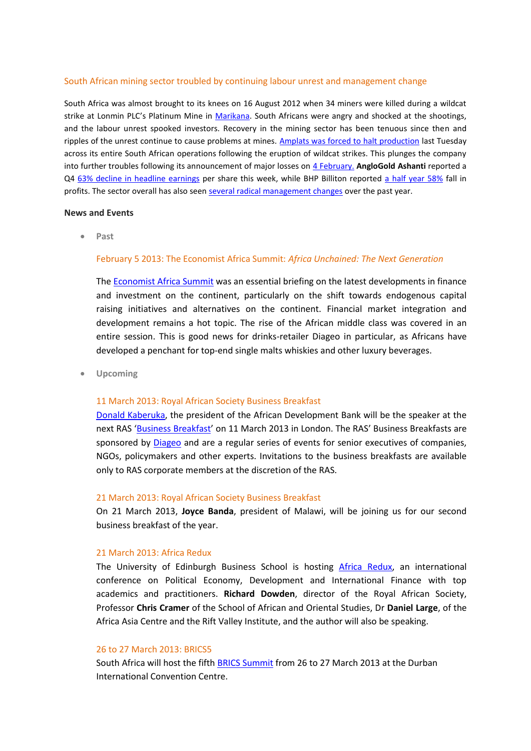## South African mining sector troubled by continuing labour unrest and management change

South Africa was almost brought to its knees on 16 August 2012 when 34 miners were killed during a wildcat strike at Lonmin PLC's Platinum Mine in [Marikana.](http://africanarguments.org/2012/09/17/apocalypse-south-africa-rumours-of-armageddon-greatly-exaggerated-by-simon-freemantle-and-desne-masie/) South Africans were angry and shocked at the shootings, and the labour unrest spooked investors. Recovery in the mining sector has been tenuous since then and ripples of the unrest continue to cause problems at mines. [Amplats was forced to halt production](http://www.ft.com/intl/cms/s/0/b13c5744-7a77-11e2-9cc2-00144feabdc0.html#axzz2LRV1h5c2) last Tuesday across its entire South African operations following the eruption of wildcat strikes. This plunges the company into further troubles following its announcement of major losses on 4 [February.](http://www.ft.com/intl/cms/s/0/10de2766-6e9f-11e2-9ded-00144feab49a.html#axzz2LRV1h5c2) **AngloGold Ashanti** reported a Q4 [63% decline in headline earnings](http://www.moneyweb.co.za/moneyweb-mining/anglogold-ashanti-fy-heps-down-63) per share this week, while BHP Billiton reported [a half year 58%](http://www.moneyweb.co.za/moneyweb-mining/bhp-billiton-ceo-kloppers-retires-as-profits-plung) fall in profits. The sector overall has also seen [several radical management changes](http://www.mineweb.com/mineweb/content/en/mineweb-mining-finance-investment-old?oid=174050&sn=Detail) over the past year.

#### **News and Events**

**Past**

## February 5 2013: The Economist Africa Summit: *Africa Unchained: The Next Generation*

The [Economist Africa Summit](http://www.economistconferences.co.uk/event/africa-summit-2013/6654) was an essential briefing on the latest developments in finance and investment on the continent, particularly on the shift towards endogenous capital raising initiatives and alternatives on the continent. Financial market integration and development remains a hot topic. The rise of the African middle class was covered in an entire session. This is good news for drinks-retailer Diageo in particular, as Africans have developed a penchant for top-end single malts whiskies and other luxury beverages.

**Upcoming**

## 11 March 2013: Royal African Society Business Breakfast

Donald [Kaberuka,](http://www.afdb.org/en/about-us/structure/presidents-corner/biography/) the president of the African Development Bank will be the speaker at the next RAS '[Business Breakfast](http://royalafricansociety.org/business-breakfasts)' on 11 March 2013 in London. The RAS' Business Breakfasts are sponsored by [Diageo](http://www.diageo.com/en-row/Pages/default.aspx) and are a regular series of events for senior executives of companies, NGOs, policymakers and other experts. Invitations to the business breakfasts are available only to RAS corporate members at the discretion of the RAS.

#### 21 March 2013: Royal African Society Business Breakfast

On 21 March 2013, **Joyce Banda**, president of Malawi, will be joining us for our second business breakfast of the year.

## 21 March 2013: Africa Redux

The University of Edinburgh Business School is hosting [Africa Redux,](http://www.business-school.ed.ac.uk/about/school-events?a=53126) an international conference on Political Economy, Development and International Finance with top academics and practitioners. **Richard Dowden**, director of the Royal African Society, Professor **Chris Cramer** of the School of African and Oriental Studies, Dr **Daniel Large**, of the Africa Asia Centre and the Rift Valley Institute, and the author will also be speaking.

## 26 to 27 March 2013: BRICS5

South Africa will host the fift[h BRICS Summit](http://www.brics5.co.za/) from 26 to 27 March 2013 at the Durban International Convention Centre.